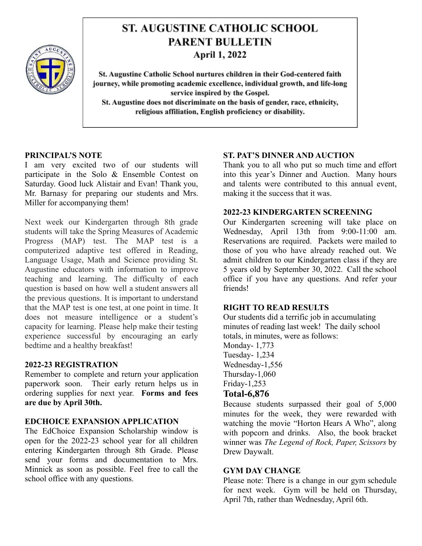

# **ST. AUGUSTINE CATHOLIC SCHOOL PARENT BULLETIN April 1, 2022**

St. Augustine Catholic School nurtures children in their God-centered faith journey, while promoting academic excellence, individual growth, and life-long service inspired by the Gospel. St. Augustine does not discriminate on the basis of gender, race, ethnicity, religious affiliation, English proficiency or disability.

## **PRINCIPAL'S NOTE**

I am very excited two of our students will participate in the Solo & Ensemble Contest on Saturday. Good luck Alistair and Evan! Thank you, Mr. Barnasy for preparing our students and Mrs. Miller for accompanying them!

Next week our Kindergarten through 8th grade students will take the Spring Measures of Academic Progress (MAP) test. The MAP test is a computerized adaptive test offered in Reading, Language Usage, Math and Science providing St. Augustine educators with information to improve teaching and learning. The difficulty of each question is based on how well a student answers all the previous questions. It is important to understand that the MAP test is one test, at one point in time. It does not measure intelligence or a student's capacity for learning. Please help make their testing experience successful by encouraging an early bedtime and a healthy breakfast!

## **2022-23 REGISTRATION**

Remember to complete and return your application paperwork soon. Their early return helps us in ordering supplies for next year. **Forms and fees are due by April 30th.**

## **EDCHOICE EXPANSION APPLICATION**

The EdChoice Expansion Scholarship window is open for the 2022-23 school year for all children entering Kindergarten through 8th Grade. Please send your forms and documentation to Mrs. Minnick as soon as possible. Feel free to call the school office with any questions.

## **ST. PAT'S DINNER AND AUCTION**

Thank you to all who put so much time and effort into this year's Dinner and Auction. Many hours and talents were contributed to this annual event, making it the success that it was.

#### **2022-23 KINDERGARTEN SCREENING**

Our Kindergarten screening will take place on Wednesday, April 13th from 9:00-11:00 am. Reservations are required. Packets were mailed to those of you who have already reached out. We admit children to our Kindergarten class if they are 5 years old by September 30, 2022. Call the school office if you have any questions. And refer your friends!

## **RIGHT TO READ RESULTS**

Our students did a terrific job in accumulating minutes of reading last week! The daily school totals, in minutes, were as follows:

Monday- 1,773 Tuesday- 1,234 Wednesday-1,556 Thursday-1,060 Friday-1,253

# **Total-6,876**

Because students surpassed their goal of 5,000 minutes for the week, they were rewarded with watching the movie "Horton Hears A Who", along with popcorn and drinks. Also, the book bracket winner was *The Legend of Rock, Paper, Scissors* by Drew Daywalt.

## **GYM DAY CHANGE**

Please note: There is a change in our gym schedule for next week. Gym will be held on Thursday, April 7th, rather than Wednesday, April 6th.